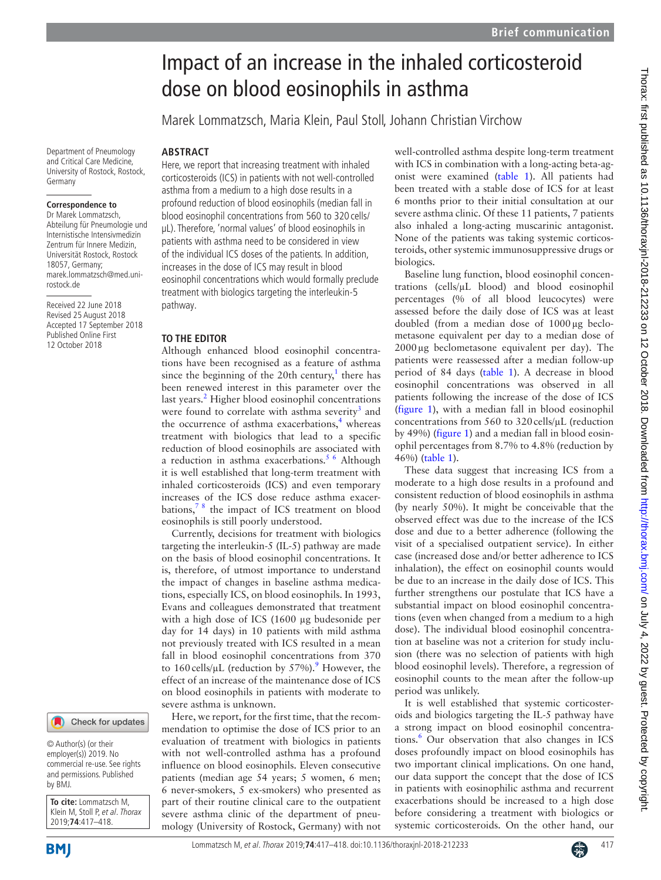## Impact of an increase in the inhaled corticosteroid dose on blood eosinophils in asthma

Marek Lommatzsch, Maria Klein, Paul Stoll, Johann Christian Virchow

## **Abstract**

Department of Pneumology and Critical Care Medicine, University of Rostock, Rostock,

**Correspondence to** Dr Marek Lommatzsch, Abteilung für Pneumologie und Internistische Intensivmedizin Zentrum für Innere Medizin, Universität Rostock, Rostock 18057, Germany; marek.lommatzsch@med.uni-

Received 22 June 2018 Revised 25 August 2018 Accepted 17 September 2018 Published Online First 12 October 2018

Germany

rostock.de

Here, we report that increasing treatment with inhaled corticosteroids (ICS) in patients with not well-controlled asthma from a medium to a high dose results in a profound reduction of blood eosinophils (median fall in blood eosinophil concentrations from 560 to 320 cells/ µL). Therefore, 'normal values' of blood eosinophils in patients with asthma need to be considered in view of the individual ICS doses of the patients. In addition, increases in the dose of ICS may result in blood eosinophil concentrations which would formally preclude treatment with biologics targeting the interleukin-5 pathway.

## **To the editor**

Although enhanced blood eosinophil concentrations have been recognised as a feature of asthma since the beginning of the 20th century,<sup>1</sup> there has been renewed interest in this parameter over the last years.<sup>[2](#page-1-1)</sup> Higher blood eosinophil concentrations were found to correlate with asthma severity<sup>3</sup> and the occurrence of asthma exacerbations,<sup>4</sup> whereas treatment with biologics that lead to a specific reduction of blood eosinophils are associated with a reduction in asthma exacerbations.<sup>[5 6](#page-1-4)</sup> Although it is well established that long-term treatment with inhaled corticosteroids (ICS) and even temporary increases of the ICS dose reduce asthma exacerbations,[7 8](#page-1-5) the impact of ICS treatment on blood eosinophils is still poorly understood.

Currently, decisions for treatment with biologics targeting the interleukin-5 (IL-5) pathway are made on the basis of blood eosinophil concentrations. It is, therefore, of utmost importance to understand the impact of changes in baseline asthma medications, especially ICS, on blood eosinophils. In 1993, Evans and colleagues demonstrated that treatment with a high dose of ICS (1600 µg budesonide per day for 14 days) in 10 patients with mild asthma not previously treated with ICS resulted in a mean fall in blood eosinophil concentrations from 370 to 160 cells/ $\mu$ L (reduction by 57%).<sup>9</sup> However, the effect of an increase of the maintenance dose of ICS on blood eosinophils in patients with moderate to severe asthma is unknown.

Here, we report, for the first time, that the recommendation to optimise the dose of ICS prior to an evaluation of treatment with biologics in patients with not well-controlled asthma has a profound influence on blood eosinophils. Eleven consecutive patients (median age 54 years; 5 women, 6 men; 6 never-smokers, 5 ex-smokers) who presented as part of their routine clinical care to the outpatient severe asthma clinic of the department of pneumology (University of Rostock, Germany) with not well-controlled asthma despite long-term treatment with ICS in combination with a long-acting beta-agonist were examined ([table](#page-1-7) 1). All patients had been treated with a stable dose of ICS for at least 6 months prior to their initial consultation at our severe asthma clinic. Of these 11 patients, 7 patients also inhaled a long-acting muscarinic antagonist. None of the patients was taking systemic corticosteroids, other systemic immunosuppressive drugs or biologics.

Baseline lung function, blood eosinophil concentrations (cells/µL blood) and blood eosinophil percentages (% of all blood leucocytes) were assessed before the daily dose of ICS was at least doubled (from a median dose of 1000µg beclometasone equivalent per day to a median dose of 2000µg beclometasone equivalent per day). The patients were reassessed after a median follow-up period of 84 days [\(table](#page-1-7) 1). A decrease in blood eosinophil concentrations was observed in all patients following the increase of the dose of ICS ([figure](#page-1-8) 1), with a median fall in blood eosinophil concentrations from  $560$  to  $320$  cells/ $\mu$ L (reduction by 49%) [\(figure](#page-1-8) 1) and a median fall in blood eosinophil percentages from 8.7% to 4.8% (reduction by 46%) [\(table](#page-1-7) 1).

These data suggest that increasing ICS from a moderate to a high dose results in a profound and consistent reduction of blood eosinophils in asthma (by nearly 50%). It might be conceivable that the observed effect was due to the increase of the ICS dose and due to a better adherence (following the visit of a specialised outpatient service). In either case (increased dose and/or better adherence to ICS inhalation), the effect on eosinophil counts would be due to an increase in the daily dose of ICS. This further strengthens our postulate that ICS have a substantial impact on blood eosinophil concentrations (even when changed from a medium to a high dose). The individual blood eosinophil concentration at baseline was not a criterion for study inclusion (there was no selection of patients with high blood eosinophil levels). Therefore, a regression of eosinophil counts to the mean after the follow-up period was unlikely.

It is well established that systemic corticosteroids and biologics targeting the IL-5 pathway have a strong impact on blood eosinophil concentra-tions.<sup>[6](#page-1-9)</sup> Our observation that also changes in ICS doses profoundly impact on blood eosinophils has two important clinical implications. On one hand, our data support the concept that the dose of ICS in patients with eosinophilic asthma and recurrent exacerbations should be increased to a high dose before considering a treatment with biologics or systemic corticosteroids. On the other hand, our

© Author(s) (or their employer(s)) 2019. No commercial re-use. See rights and permissions. Published by BMJ.

**To cite:** Lommatzsch M, Klein M, Stoll P, et al. Thorax 2019;**74**:417–418.

**BMI**